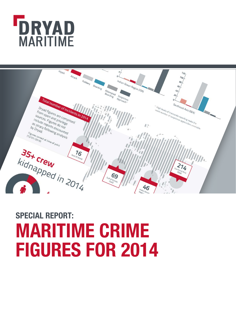



# **SPECIAL REPORT: MARITIME CRIME FIGURES FOR 2014**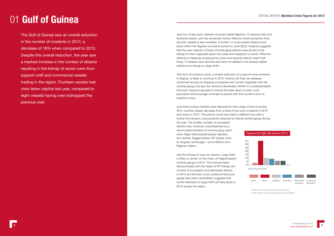# 01 **Gulf of Guinea**

The Gulf of Guinea saw an overall reduction in the number of incidents in 2014: a decrease of 18% when compared to 2013. Despite this overall reduction, the year saw a marked increase in the number of attacks resulting in the kidnap of senior crew from support craft and commercial vessels trading in the region. Fourteen vessels had crew taken captive last year, compared to eight vessels having crew kidnapped the previous year.



Just two of last year's attacks occurred inside Nigeria's 12 nautical mile (nm) territorial waters, with the remainder further offshore where protection from security vessels is less available. A further 14 unsuccessful attacks took place within the Nigerian exclusive economic zone (EEZ). Analysis suggests that the vast majority of these criminal gang attacks were aimed at the kidnap of crew, especially given the areas and weaponry involved. Effective defensive measures employed by crews and security teams meant that these 14 attacks were aborted and were not added to the already higher statistics for kidnap or cargo theft.

This form of maritime crime, a simple extension of a type of crime endemic in Nigeria, is likely to continue in 2015. Victims will likely be released unharmed as long as shipping companies and owners negotiate with the criminal gangs and pay the ransoms demanded. Whilst it is understandable that such ransoms are paid to secure the safe return of crew, such payments will encourage criminals to persist with this lucrative form of maritime crime.

Just three product tankers were hijacked for their cargo of fuel oil during 2014, another steady decrease from a total of five such incidents in 2013 and seven in 2012. The picture could have been a different one with a further five tankers unsuccessfully attacked by heavily armed gangs during

the year. The smaller number of successful attacks was, however, overshadowed by a record demonstration of criminal gang reach when Niger Delta-based pirates hijacked the Liberian flagged tanker, MT Kerala, from its Angolan anchorage – some 900nm from Nigerian waters.

Like the kidnap of crew for ransom, cargo theft is likely to remain on the menu of Nigeria based criminal gangs in 2015. The criminal reach demonstrated with the hijack of MT Kerala, the number of successful and attempted attacks in 2014 and the lack of any evidence that such gangs have been neutralised, suggests that further attempts at cargo theft will take place in 2015 across the region.

\* High levels of inaccurate reporting make the exact number of suspicious approaches unreliable.



25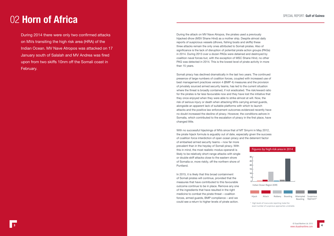# 02 **Horn of Africa**

During 2014 there were only two confirmed attacks on MVs transiting the high risk area (HRA) of the Indian Ocean. MV Nave Atropos was attacked on 17 January south of Salalah and MV Andrea was fired upon from two skiffs 10nm off the Somali coast in February.



During the attack on MV Nave Atropos, the pirates used a previously hijacked dhow (MSV Shane Hind) as a mother ship. Despite almost daily reports of suspicious vessels (dhows, fishing boats and skiffs) these three attacks remain the only ones attributed to Somali pirates. Also of significance is the lack of disruption of potential pirate action groups (PAGs) in 2014. During 2013 over a dozen PAGs were detained and destroyed by coalition naval forces but, with the exception of MSC Shane Hind, no other PAG was detected in 2014. This is the lowest level of pirate activity in more than 15 years.

Somali piracy has declined dramatically in the last two years. The continued presence of large numbers of coalition forces, coupled with increased use of best management practices version 4 (BMP 4) measures and the provision of privately sourced armed security teams, has led to the current situation where the threat is broadly contained, if not eradicated. The risk/reward ratio for the pirates is far less favourable now and they have lost the initiative that they once enjoyed when they were able to strike almost at will. Now, the risk of serious injury or death when attacking MVs carrying armed guards, alongside an apparent lack of suitable platforms with which to launch attacks and the positive law enforcement outcomes evidenced recently have no doubt increased the decline of piracy. However, the conditions ashore in Somalia, which contributed to the escalation of piracy in the first place, have changed little.

With no successful hijackings of MVs since that of MT Smyrni in May 2012, the pirate hijack formula is arguably out of date, especially given the success of coalition force interdiction of open ocean piracy and the deterrent factor

of embarked armed security teams – now far more prevalent than in the heyday of Somali piracy. With this in mind, the most realistic modus operandi is likely to be relatively short-range attacks with single or double skiff attacks close to the eastern shore of Somalia or, more riskily, off the northern shore of Puntland.

In 2015, it is likely that this broad containment of Somali pirates will continue, provided that the measures that have contributed to this favourable outcome continue to be in place. Remove any one of the ingredients that have resulted in the right medicine to combat the pirate threat – coalition forces, armed guards, BMP compliance – and we could see a return to higher levels of pirate action.

\* High levels of inaccurate reporting make the exact number of suspicious approaches unreliable.



0 5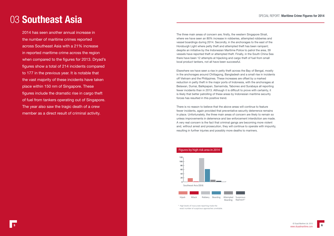## 03 **Southeast Asia**

5

2014 has seen another annual increase in the number of maritime crimes reported across Southeast Asia with a 21% increase in reported maritime crime across the region when compared to the figures for 2013. Dryad's figures show a total of 214 incidents compared to 177 in the previous year. It is notable that the vast majority of these incidents have taken place within 150 nm of Singapore. These figures include the dramatic rise in cargo theft of fuel from tankers operating out of Singapore. The year also saw the tragic death of a crew member as a direct result of criminal activity.

The three main areas of concern are; firstly, the western Singapore Strait, where we have seen an 80% increase in robberies, attempted robberies and vessel boardings during 2014. Secondly, in the anchorages to the east of the Horsburgh Light where petty theft and attempted theft has been rampant; despite an initiative by the Indonesian Maritime Police to patrol the area, 39 vessels have reported theft or attempted theft. Finally, in the South China Sea there have been 12 attempts at hijacking and cargo theft of fuel from small local product tankers, not all have been successful.

Elsewhere we have seen a rise in petty theft across the Bay of Bengal, mostly in the anchorages around Chittagong, Bangladesh and a small rise in incidents off Vietnam and the Philippines. These increases are offset by a marked reduction in petty theft in the major ports of Indonesia, with the anchorages at Belawan, Dumai, Balikpapan, Samarinda, Taboneo and Surabaya all reporting fewer incidents than in 2013. Although it is difficult to prove with certainty, it is likely that better patrolling of these areas by Indonesian maritime security forces has resulted in this positive trend.

There is no reason to believe that the above areas will continue to feature fewer incidents, again provided that preventative security deterrence remains in place. Unfortunately, the three main areas of concern are likely to remain so unless improvements in deterrence and law enforcement interdiction are made. A very real concern is the fact that criminal gangs are becoming more violent and, without arrest and prosecution, they will continue to operate with impunity, resulting in further injuries and possibly more deaths to mariners.

exact number of suspicious approaches unreliable.

\* High levels of inaccurate reporting make the Boarding Approach\*

Hijack Attack Robbery Boarding Attempted

Suspicious

#### Figures by high risk area in 2014

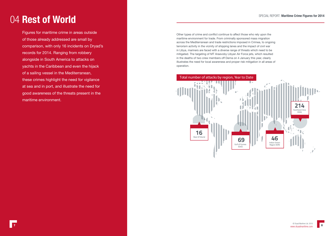# 04 **Rest of World**

Figures for maritime crime in areas outside of those already addressed are small by comparison, with only 16 incidents on Dryad's records for 2014. Ranging from robbery alongside in South America to attacks on yachts in the Caribbean and even the hijack of a sailing vessel in the Mediterranean, these crimes highlight the need for vigilance at sea and in port, and illustrate the need for good awareness of the threats present in the maritime environment.

$$
\boldsymbol{8}
$$

Other types of crime and conflict continue to affect those who rely upon the maritime environment for trade. From criminally sponsored mass migration across the Mediterranean and trade restrictions imposed in Crimea, to ongoing terrorism activity in the vicinity of shipping lanes and the impact of civil war in Libya, mariners are faced with a diverse range of threats which need to be mitigated. The targeting of MT Araevoby Libyan Air Force jets, which resulted in the deaths of two crew members off Derna on 4 January this year, clearly illustrates the need for local awareness and proper risk mitigation in all areas of operation.

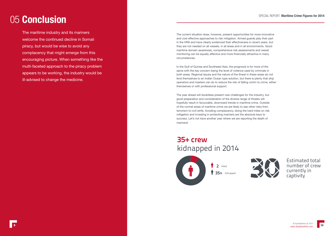### 05 **Conclusion**

The maritime industry and its mariners welcome the continued decline in Somali piracy, but would be wise to avoid any complacency that might emerge from this encouraging picture. When something like the multi-faceted approach to the piracy problem appears to be working, the industry would be ill-advised to change the medicine.



The current situation does, however, present opportunities for more innovative and cost effective approaches to risk mitigation. Armed guards play their part in the HRA and have clearly evidenced their effectiveness in recent years, but they are not needed on all vessels, in all areas and in all environments. Good maritime domain awareness, comprehensive risk assessments and vessel monitoring can be equally effective and more financially attractive in many circumstances.

In the Gulf of Guinea and Southeast Asia, the prognosis is for more of the same with the key concern being the level of violence used by criminals in both areas. Regional issues and the nature of the threat in these areas do not lend themselves to an Indian Ocean type solution, but there is plenty that ship operators and masters can do to reduce the risk of falling victim to crime, either themselves or with professional support.

The year ahead will doubtless present new challenges for the industry, but good preparation and consideration of the diverse range of threats will hopefully result in favourable, downward trends in maritime crime. Outside of the normal areas of maritime crime we are likely to see other risks from terrorism to civil strife. Avoiding complacency, doing the hard miles on risk mitigation and investing in protecting mariners are the absolute keys to success. Let's not have another year where we are reporting the death of mariners!

### 35+ crew kidnapped in 2014



35+ Kidnapped 2

Estimated total number of crew currently in captivity